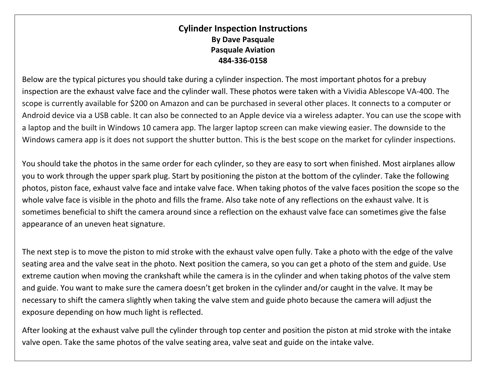## **Cylinder Inspection Instructions By Dave Pasquale Pasquale Aviation 484-336-0158**

Below are the typical pictures you should take during a cylinder inspection. The most important photos for a prebuy inspection are the exhaust valve face and the cylinder wall. These photos were taken with a Vividia Ablescope VA-400. The scope is currently available for \$200 on Amazon and can be purchased in several other places. It connects to a computer or Android device via a USB cable. It can also be connected to an Apple device via a wireless adapter. You can use the scope with a laptop and the built in Windows 10 camera app. The larger laptop screen can make viewing easier. The downside to the Windows camera app is it does not support the shutter button. This is the best scope on the market for cylinder inspections.

You should take the photos in the same order for each cylinder, so they are easy to sort when finished. Most airplanes allow you to work through the upper spark plug. Start by positioning the piston at the bottom of the cylinder. Take the following photos, piston face, exhaust valve face and intake valve face. When taking photos of the valve faces position the scope so the whole valve face is visible in the photo and fills the frame. Also take note of any reflections on the exhaust valve. It is sometimes beneficial to shift the camera around since a reflection on the exhaust valve face can sometimes give the false appearance of an uneven heat signature.

The next step is to move the piston to mid stroke with the exhaust valve open fully. Take a photo with the edge of the valve seating area and the valve seat in the photo. Next position the camera, so you can get a photo of the stem and guide. Use extreme caution when moving the crankshaft while the camera is in the cylinder and when taking photos of the valve stem and guide. You want to make sure the camera doesn't get broken in the cylinder and/or caught in the valve. It may be necessary to shift the camera slightly when taking the valve stem and guide photo because the camera will adjust the exposure depending on how much light is reflected.

After looking at the exhaust valve pull the cylinder through top center and position the piston at mid stroke with the intake valve open. Take the same photos of the valve seating area, valve seat and guide on the intake valve.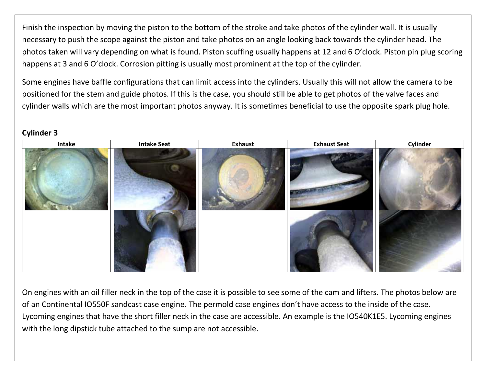Finish the inspection by moving the piston to the bottom of the stroke and take photos of the cylinder wall. It is usually necessary to push the scope against the piston and take photos on an angle looking back towards the cylinder head. The photos taken will vary depending on what is found. Piston scuffing usually happens at 12 and 6 O'clock. Piston pin plug scoring happens at 3 and 6 O'clock. Corrosion pitting is usually most prominent at the top of the cylinder.

Some engines have baffle configurations that can limit access into the cylinders. Usually this will not allow the camera to be positioned for the stem and guide photos. If this is the case, you should still be able to get photos of the valve faces and cylinder walls which are the most important photos anyway. It is sometimes beneficial to use the opposite spark plug hole.



## **Cylinder 3**

On engines with an oil filler neck in the top of the case it is possible to see some of the cam and lifters. The photos below are of an Continental IO550F sandcast case engine. The permold case engines don't have access to the inside of the case. Lycoming engines that have the short filler neck in the case are accessible. An example is the IO540K1E5. Lycoming engines with the long dipstick tube attached to the sump are not accessible.